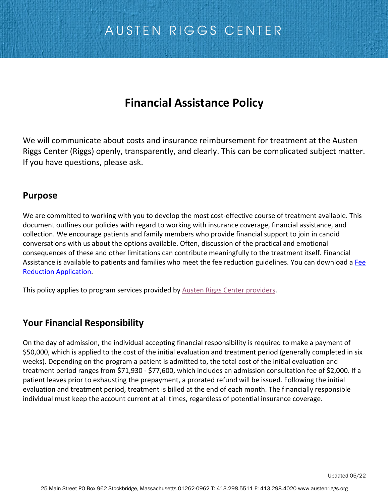## **Financial Assistance Policy**

We will communicate about costs and insurance reimbursement for treatment at the Austen Riggs Center (Riggs) openly, transparently, and clearly. This can be complicated subject matter. If you have questions, please ask.

#### **Purpose**

We are committed to working with you to develop the most cost-effective course of treatment available. This document outlines our policies with regard to working with insurance coverage, financial assistance, and collection. We encourage patients and family members who provide financial support to join in candid conversations with us about the options available. Often, discussion of the practical and emotional consequences of these and other limitations can contribute meaningfully to the treatment itself. Financial Assistance is available to patients and families who meet the fee reduction guidelines. You can download a [Fee](https://cdn.sanity.io/files/97aou580/production/d0f111fb23624e7c71c7748e826467e5fb78e272.pdf)  [Reduction Application.](https://cdn.sanity.io/files/97aou580/production/d0f111fb23624e7c71c7748e826467e5fb78e272.pdf)

This policy applies to program services provided by [Austen Riggs Center providers.](http://www.austenriggs.org/staff?field_department_value=Medical)

### **Your Financial Responsibility**

On the day of admission, the individual accepting financial responsibility is required to make a payment of \$50,000, which is applied to the cost of the initial evaluation and treatment period (generally completed in six weeks). Depending on the program a patient is admitted to, the total cost of the initial evaluation and treatment period ranges from \$71,930 - \$77,600, which includes an admission consultation fee of \$2,000. If a patient leaves prior to exhausting the prepayment, a prorated refund will be issued. Following the initial evaluation and treatment period, treatment is billed at the end of each month. The financially responsible individual must keep the account current at all times, regardless of potential insurance coverage.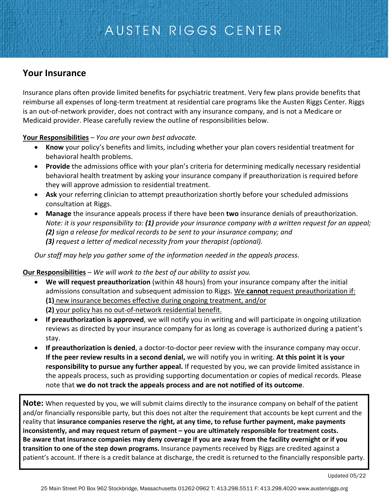### **Your Insurance**

Insurance plans often provide limited benefits for psychiatric treatment. Very few plans provide benefits that reimburse all expenses of long-term treatment at residential care programs like the Austen Riggs Center. Riggs is an out-of-network provider, does not contract with any insurance company, and is not a Medicare or Medicaid provider. Please carefully review the outline of responsibilities below.

**Your Responsibilities** – *You are your own best advocate.* 

- **Know** your policy's benefits and limits, including whether your plan covers residential treatment for behavioral health problems.
- **Provide** the admissions office with your plan's criteria for determining medically necessary residential behavioral health treatment by asking your insurance company if preauthorization is required before they will approve admission to residential treatment.
- **Ask** your referring clinician to attempt preauthorization shortly before your scheduled admissions consultation at Riggs.
- **Manage** the insurance appeals process if there have been **two** insurance denials of preauthorization. *Note: it is your responsibility to: (1) provide your insurance company with a written request for an appeal; (2) sign a release for medical records to be sent to your insurance company; and (3) request a letter of medical necessity from your therapist (optional).*

*Our staff may help you gather some of the information needed in the appeals process.*

#### **Our Responsibilities** – *We will work to the best of our ability to assist you.*

- **We will request preauthorization** (within 48 hours) from your insurance company after the initial admissions consultation and subsequent admission to Riggs. We **cannot** request preauthorization if: **(1)** new insurance becomes effective during ongoing treatment, and/or **(2)** your policy has no out-of-network residential benefit.
- **If preauthorization is approved**, we will notify you in writing and will participate in ongoing utilization reviews as directed by your insurance company for as long as coverage is authorized during a patient's stay.
- **If preauthorization is denied**, a doctor-to-doctor peer review with the insurance company may occur. **If the peer review results in a second denial,** we will notify you in writing. **At this point it is your responsibility to pursue any further appeal.** If requested by you, we can provide limited assistance in the appeals process, such as providing supporting documentation or copies of medical records. Please note that **we do not track the appeals process and are not notified of its outcome**.

**Note:** When requested by you, we will submit claims directly to the insurance company on behalf of the patient and/or financially responsible party, but this does not alter the requirement that accounts be kept current and the reality that **insurance companies reserve the right, at any time, to refuse further payment, make payments inconsistently, and may request return of payment – you are ultimately responsible for treatment costs. Be aware that insurance companies may deny coverage if you are away from the facility overnight or if you transition to one of the step down programs.** Insurance payments received by Riggs are credited against a patient's account. If there is a credit balance at discharge, the credit is returned to the financially responsible party.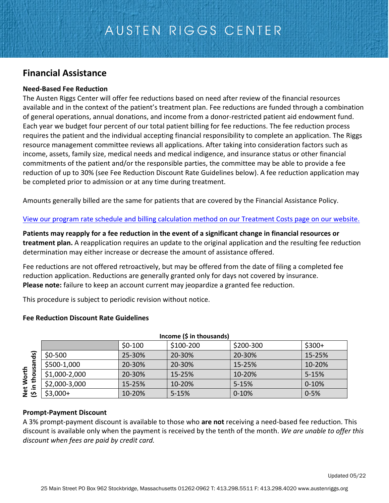### **Financial Assistance**

#### **Need-Based Fee Reduction**

The Austen Riggs Center will offer fee reductions based on need after review of the financial resources available and in the context of the patient's treatment plan. Fee reductions are funded through a combination of general operations, annual donations, and income from a donor-restricted patient aid endowment fund. Each year we budget four percent of our total patient billing for fee reductions. The fee reduction process requires the patient and the individual accepting financial responsibility to complete an application. The Riggs resource management committee reviews all applications. After taking into consideration factors such as income, assets, family size, medical needs and medical indigence, and insurance status or other financial commitments of the patient and/or the responsible parties, the committee may be able to provide a fee reduction of up to 30% (see Fee Reduction Discount Rate Guidelines below). A fee reduction application may be completed prior to admission or at any time during treatment.

Amounts generally billed are the same for patients that are covered by the Financial Assistance Policy.

[View our program rate schedule](https://www.austenriggs.org/admission/cost) and billing calculation method on our Treatment Costs page on our website.

**Patients may reapply for a fee reduction in the event of a significant change in financial resources or treatment plan.** A reapplication requires an update to the original application and the resulting fee reduction determination may either increase or decrease the amount of assistance offered.

Fee reductions are not offered retroactively, but may be offered from the date of filing a completed fee reduction application. Reductions are generally granted only for days not covered by insurance. **Please note:** failure to keep an account current may jeopardize a granted fee reduction.

This procedure is subject to periodic revision without notice.

#### **Fee Reduction Discount Rate Guidelines**

| Income (\$ in thousands)                                                                                                                                                                                                                                                                             |               |          |           |           |           |
|------------------------------------------------------------------------------------------------------------------------------------------------------------------------------------------------------------------------------------------------------------------------------------------------------|---------------|----------|-----------|-----------|-----------|
|                                                                                                                                                                                                                                                                                                      |               | $$0-100$ | \$100-200 | \$200-300 | $$300+$   |
| Net Worth<br>(\$ in thousands)                                                                                                                                                                                                                                                                       | $$0-500$      | 25-30%   | 20-30%    | 20-30%    | 15-25%    |
|                                                                                                                                                                                                                                                                                                      | \$500-1,000   | 20-30%   | 20-30%    | 15-25%    | 10-20%    |
|                                                                                                                                                                                                                                                                                                      | \$1,000-2,000 | 20-30%   | 15-25%    | 10-20%    | $5 - 15%$ |
|                                                                                                                                                                                                                                                                                                      | \$2,000-3,000 | 15-25%   | 10-20%    | $5 - 15%$ | $0 - 10%$ |
|                                                                                                                                                                                                                                                                                                      | $$3,000+$     | 10-20%   | $5 - 15%$ | $0 - 10%$ | $0 - 5%$  |
| <b>Prompt-Payment Discount</b><br>A 3% prompt-payment discount is available to those who are not receiving a need-based fee reduction. 1<br>discount is available only when the payment is received by the tenth of the month. We are unable to offer<br>discount when fees are paid by credit card. |               |          |           |           |           |

#### **Prompt-Payment Discount**

A 3% prompt-payment discount is available to those who **are not** receiving a need-based fee reduction. This discount is available only when the payment is received by the tenth of the month. *We are unable to offer this*